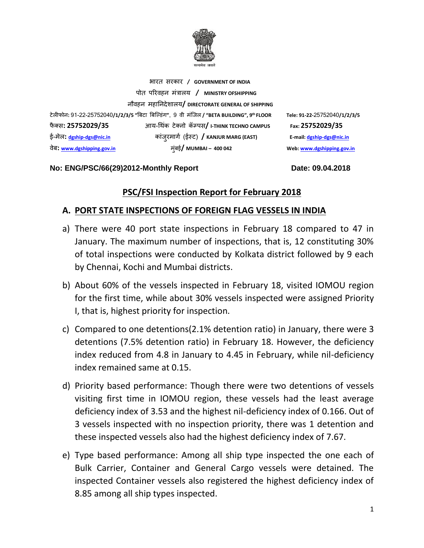

भारत सरकार **/ GOVERNMENT OF INDIA** पोत पररवहन मंत्रालय **/ MINISTRY OFSHIPPING** नौवहन महाननदेशालय**/ DIRECTORATE GENERAL OF SHIPPING** टेलीफोन**:** 91-22-25752040**/1/2/3/5 "**बिटा बिल्डंग**"**, 9 वी मंलिल **/ "BETA BUILDING", 9** फै क् स**: 25752029/35** आय-थ कं टेक्नो कॅम्पस**/ I-THINK TECHNO CAMPUS Fax: 25752029/35** ई-मेल**: [dgship-dgs@nic.in](mailto:dgship-dgs@nic.in)** कांिुरमागग (ईस्ट) **/ KANJUR MARG (EAST) E-mail[: dgship-dgs@nic.in](mailto:dgship-dgs@nic.in)** वेि**: [www.dgshipping.gov.in](http://www.dgshipping.gov.in/)** मुंिई**/ MUMBAI – 400 042 Web[: www.dgshipping.gov.in](http://www.dgshipping.gov.in/)**

**No: ENG/PSC/66(29)2012-Monthly Report Date: 09.04.2018** 

**th FLOOR Tele: 91-22-**25752040**/1/2/3/5** 

# **PSC/FSI Inspection Report for February 2018**

# **A. PORT STATE INSPECTIONS OF FOREIGN FLAG VESSELS IN INDIA**

- a) There were 40 port state inspections in February 18 compared to 47 in January. The maximum number of inspections, that is, 12 constituting 30% of total inspections were conducted by Kolkata district followed by 9 each by Chennai, Kochi and Mumbai districts.
- b) About 60% of the vessels inspected in February 18, visited IOMOU region for the first time, while about 30% vessels inspected were assigned Priority I, that is, highest priority for inspection.
- c) Compared to one detentions(2.1% detention ratio) in January, there were 3 detentions (7.5% detention ratio) in February 18. However, the deficiency index reduced from 4.8 in January to 4.45 in February, while nil-deficiency index remained same at 0.15.
- d) Priority based performance: Though there were two detentions of vessels visiting first time in IOMOU region, these vessels had the least average deficiency index of 3.53 and the highest nil-deficiency index of 0.166. Out of 3 vessels inspected with no inspection priority, there was 1 detention and these inspected vessels also had the highest deficiency index of 7.67.
- e) Type based performance: Among all ship type inspected the one each of Bulk Carrier, Container and General Cargo vessels were detained. The inspected Container vessels also registered the highest deficiency index of 8.85 among all ship types inspected.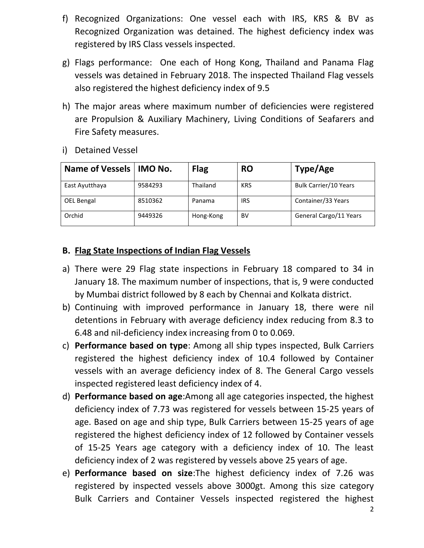- f) Recognized Organizations: One vessel each with IRS, KRS & BV as Recognized Organization was detained. The highest deficiency index was registered by IRS Class vessels inspected.
- g) Flags performance: One each of Hong Kong, Thailand and Panama Flag vessels was detained in February 2018. The inspected Thailand Flag vessels also registered the highest deficiency index of 9.5
- h) The major areas where maximum number of deficiencies were registered are Propulsion & Auxiliary Machinery, Living Conditions of Seafarers and Fire Safety measures.

| <b>Name of Vessels</b> | <b>IMO No.</b> | <b>Flag</b> | <b>RO</b>  | Type/Age                     |
|------------------------|----------------|-------------|------------|------------------------------|
| East Ayutthaya         | 9584293        | Thailand    | <b>KRS</b> | <b>Bulk Carrier/10 Years</b> |
| OEL Bengal             | 8510362        | Panama      | IRS        | Container/33 Years           |
| Orchid                 | 9449326        | Hong-Kong   | BV         | General Cargo/11 Years       |

i) Detained Vessel

# **B. Flag State Inspections of Indian Flag Vessels**

- a) There were 29 Flag state inspections in February 18 compared to 34 in January 18. The maximum number of inspections, that is, 9 were conducted by Mumbai district followed by 8 each by Chennai and Kolkata district.
- b) Continuing with improved performance in January 18, there were nil detentions in February with average deficiency index reducing from 8.3 to 6.48 and nil-deficiency index increasing from 0 to 0.069.
- c) **Performance based on type**: Among all ship types inspected, Bulk Carriers registered the highest deficiency index of 10.4 followed by Container vessels with an average deficiency index of 8. The General Cargo vessels inspected registered least deficiency index of 4.
- d) **Performance based on age**:Among all age categories inspected, the highest deficiency index of 7.73 was registered for vessels between 15-25 years of age. Based on age and ship type, Bulk Carriers between 15-25 years of age registered the highest deficiency index of 12 followed by Container vessels of 15-25 Years age category with a deficiency index of 10. The least deficiency index of 2 was registered by vessels above 25 years of age.
- e) **Performance based on size**:The highest deficiency index of 7.26 was registered by inspected vessels above 3000gt. Among this size category Bulk Carriers and Container Vessels inspected registered the highest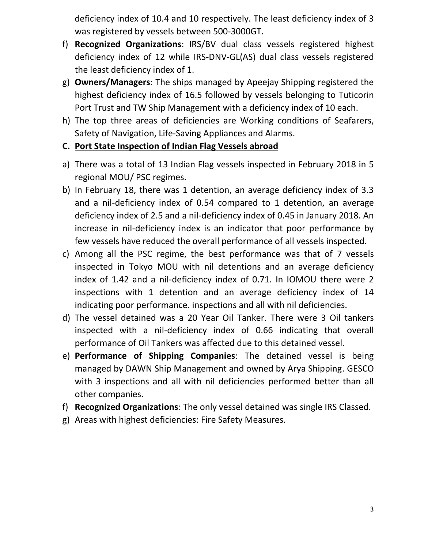deficiency index of 10.4 and 10 respectively. The least deficiency index of 3 was registered by vessels between 500-3000GT.

- f) **Recognized Organizations**: IRS/BV dual class vessels registered highest deficiency index of 12 while IRS-DNV-GL(AS) dual class vessels registered the least deficiency index of 1.
- g) **Owners/Managers**: The ships managed by Apeejay Shipping registered the highest deficiency index of 16.5 followed by vessels belonging to Tuticorin Port Trust and TW Ship Management with a deficiency index of 10 each.
- h) The top three areas of deficiencies are Working conditions of Seafarers, Safety of Navigation, Life-Saving Appliances and Alarms.

# **C. Port State Inspection of Indian Flag Vessels abroad**

- a) There was a total of 13 Indian Flag vessels inspected in February 2018 in 5 regional MOU/ PSC regimes.
- b) In February 18, there was 1 detention, an average deficiency index of 3.3 and a nil-deficiency index of 0.54 compared to 1 detention, an average deficiency index of 2.5 and a nil-deficiency index of 0.45 in January 2018. An increase in nil-deficiency index is an indicator that poor performance by few vessels have reduced the overall performance of all vessels inspected.
- c) Among all the PSC regime, the best performance was that of 7 vessels inspected in Tokyo MOU with nil detentions and an average deficiency index of 1.42 and a nil-deficiency index of 0.71. In IOMOU there were 2 inspections with 1 detention and an average deficiency index of 14 indicating poor performance. inspections and all with nil deficiencies.
- d) The vessel detained was a 20 Year Oil Tanker. There were 3 Oil tankers inspected with a nil-deficiency index of 0.66 indicating that overall performance of Oil Tankers was affected due to this detained vessel.
- e) **Performance of Shipping Companies**: The detained vessel is being managed by DAWN Ship Management and owned by Arya Shipping. GESCO with 3 inspections and all with nil deficiencies performed better than all other companies.
- f) **Recognized Organizations**: The only vessel detained was single IRS Classed.
- g) Areas with highest deficiencies: Fire Safety Measures.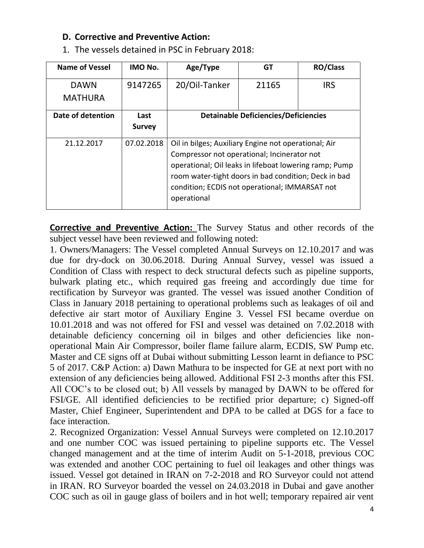### **D. Corrective and Preventive Action:**

| <b>Name of Vessel</b> | IMO No.       | Age/Type                                                                                                                                                                                                                                                                               | GT                                          | <b>RO/Class</b> |  |  |  |
|-----------------------|---------------|----------------------------------------------------------------------------------------------------------------------------------------------------------------------------------------------------------------------------------------------------------------------------------------|---------------------------------------------|-----------------|--|--|--|
| <b>DAWN</b>           | 9147265       | 20/Oil-Tanker                                                                                                                                                                                                                                                                          | 21165                                       | <b>IRS</b>      |  |  |  |
| <b>MATHURA</b>        |               |                                                                                                                                                                                                                                                                                        |                                             |                 |  |  |  |
| Date of detention     | Last          |                                                                                                                                                                                                                                                                                        | <b>Detainable Deficiencies/Deficiencies</b> |                 |  |  |  |
|                       | <b>Survey</b> |                                                                                                                                                                                                                                                                                        |                                             |                 |  |  |  |
| 21.12.2017            | 07.02.2018    | Oil in bilges; Auxiliary Engine not operational; Air<br>Compressor not operational; Incinerator not<br>operational; Oil leaks in lifeboat lowering ramp; Pump<br>room water-tight doors in bad condition; Deck in bad<br>condition; ECDIS not operational; IMMARSAT not<br>operational |                                             |                 |  |  |  |

1. The vessels detained in PSC in February 2018:

**Corrective and Preventive Action:** The Survey Status and other records of the subject vessel have been reviewed and following noted:

1. Owners/Managers: The Vessel completed Annual Surveys on 12.10.2017 and was due for dry-dock on 30.06.2018. During Annual Survey, vessel was issued a Condition of Class with respect to deck structural defects such as pipeline supports, bulwark plating etc., which required gas freeing and accordingly due time for rectification by Surveyor was granted. The vessel was issued another Condition of Class in January 2018 pertaining to operational problems such as leakages of oil and defective air start motor of Auxiliary Engine 3. Vessel FSI became overdue on 10.01.2018 and was not offered for FSI and vessel was detained on 7.02.2018 with detainable deficiency concerning oil in bilges and other deficiencies like nonoperational Main Air Compressor, boiler flame failure alarm, ECDIS, SW Pump etc. Master and CE signs off at Dubai without submitting Lesson learnt in defiance to PSC 5 of 2017. C&P Action: a) Dawn Mathura to be inspected for GE at next port with no extension of any deficiencies being allowed. Additional FSI 2-3 months after this FSI. All COC's to be closed out; b) All vessels by managed by DAWN to be offered for FSI/GE. All identified deficiencies to be rectified prior departure; c) Signed-off Master, Chief Engineer, Superintendent and DPA to be called at DGS for a face to face interaction.

2. Recognized Organization: Vessel Annual Surveys were completed on 12.10.2017 and one number COC was issued pertaining to pipeline supports etc. The Vessel changed management and at the time of interim Audit on 5-1-2018, previous COC was extended and another COC pertaining to fuel oil leakages and other things was issued. Vessel got detained in IRAN on 7-2-2018 and RO Surveyor could not attend in IRAN. RO Surveyor boarded the vessel on 24.03.2018 in Dubai and gave another COC such as oil in gauge glass of boilers and in hot well; temporary repaired air vent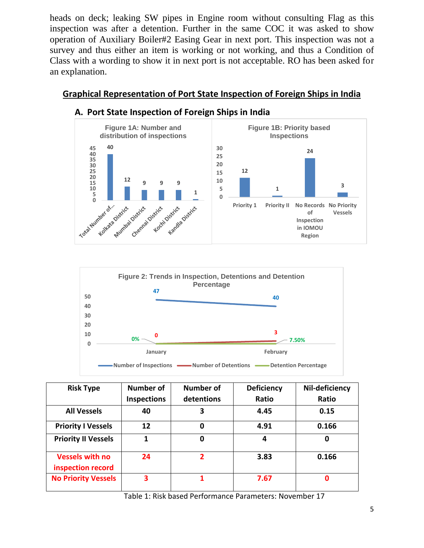heads on deck; leaking SW pipes in Engine room without consulting Flag as this inspection was after a detention. Further in the same COC it was asked to show operation of Auxiliary Boiler#2 Easing Gear in next port. This inspection was not a survey and thus either an item is working or not working, and thus a Condition of Class with a wording to show it in next port is not acceptable. RO has been asked for an explanation.

# **Graphical Representation of Port State Inspection of Foreign Ships in India**



#### **A. Port State Inspection of Foreign Ships in India**



| <b>Risk Type</b>                            | Number of          | <b>Number of</b> | <b>Deficiency</b> | Nil-deficiency |
|---------------------------------------------|--------------------|------------------|-------------------|----------------|
|                                             | <b>Inspections</b> | detentions       | Ratio             | Ratio          |
| <b>All Vessels</b>                          | 40                 | 3                | 4.45              | 0.15           |
| <b>Priority I Vessels</b>                   | 12                 | 0                | 4.91              | 0.166          |
| <b>Priority II Vessels</b>                  | 1                  | 0                | 4                 | 0              |
| <b>Vessels with no</b><br>inspection record | 24                 | $\overline{2}$   | 3.83              | 0.166          |
| <b>No Priority Vessels</b>                  | 3                  |                  | 7.67              | 0              |

Table 1: Risk based Performance Parameters: November 17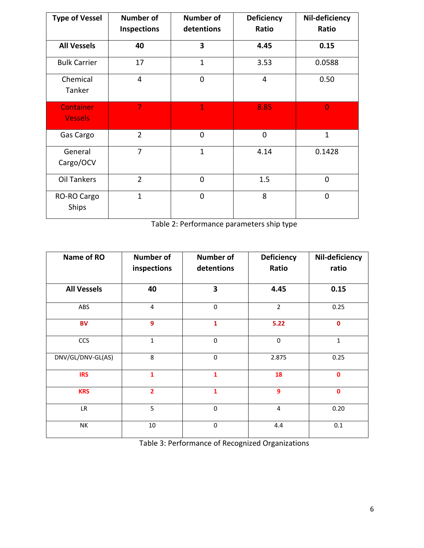| <b>Type of Vessel</b>              | <b>Number of</b>   | <b>Number of</b>        | <b>Deficiency</b> | Nil-deficiency |
|------------------------------------|--------------------|-------------------------|-------------------|----------------|
|                                    | <b>Inspections</b> | detentions              | Ratio             | Ratio          |
| <b>All Vessels</b>                 | 40                 | $\overline{\mathbf{3}}$ | 4.45              | 0.15           |
| <b>Bulk Carrier</b>                | 17                 | $\mathbf{1}$            | 3.53              | 0.0588         |
| Chemical<br>Tanker                 | 4                  | $\overline{0}$          | 4                 | 0.50           |
| <b>Container</b><br><b>Vessels</b> | $\overline{7}$     | $\mathbf{1}$            | 8.85              | $\overline{0}$ |
| Gas Cargo                          | $\overline{2}$     | $\overline{0}$          | $\mathbf 0$       | $\mathbf{1}$   |
| General<br>Cargo/OCV               | $\overline{7}$     | $\mathbf{1}$            | 4.14              | 0.1428         |
| Oil Tankers                        | $\overline{2}$     | $\overline{0}$          | 1.5               | 0              |
| RO-RO Cargo<br><b>Ships</b>        | $\mathbf{1}$       | $\overline{0}$          | 8                 | 0              |

Table 2: Performance parameters ship type

| Name of RO         | <b>Number of</b><br>inspections | <b>Number of</b><br>detentions | <b>Deficiency</b><br>Ratio | Nil-deficiency<br>ratio |
|--------------------|---------------------------------|--------------------------------|----------------------------|-------------------------|
| <b>All Vessels</b> | 40                              | 3                              | 4.45                       | 0.15                    |
| ABS                | 4                               | $\mathbf 0$                    | $\overline{2}$             | 0.25                    |
| <b>BV</b>          | 9                               | $\mathbf{1}$                   | 5.22                       | $\mathbf 0$             |
| CCS                | $\mathbf 1$                     | $\mathbf 0$                    | $\mathbf 0$                | $\mathbf{1}$            |
| DNV/GL/DNV-GL(AS)  | 8                               | $\mathbf 0$                    | 2.875                      | 0.25                    |
| <b>IRS</b>         | $\mathbf{1}$                    | $\mathbf{1}$                   | 18                         | $\mathbf 0$             |
| <b>KRS</b>         | $\overline{2}$                  | $\mathbf{1}$                   | 9                          | $\mathbf 0$             |
| LR                 | 5                               | $\mathbf 0$                    | $\overline{\mathbf{4}}$    | 0.20                    |
| NΚ                 | 10                              | $\mathbf 0$                    | 4.4                        | 0.1                     |

Table 3: Performance of Recognized Organizations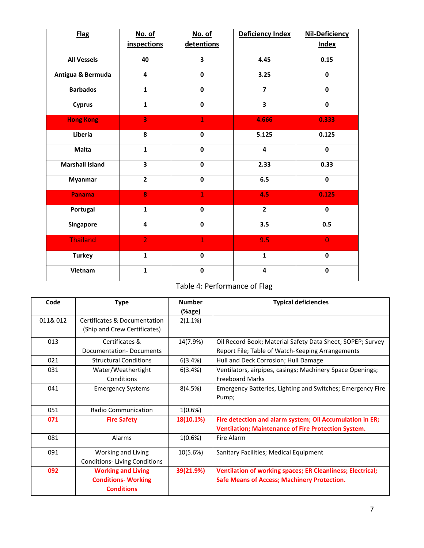| <b>Flag</b>            | No. of                  | No. of                  | Deficiency Index        | <b>Nil-Deficiency</b> |
|------------------------|-------------------------|-------------------------|-------------------------|-----------------------|
|                        | <i>inspections</i>      | detentions              |                         | <b>Index</b>          |
| <b>All Vessels</b>     | 40                      | $\overline{\mathbf{3}}$ | 4.45                    | 0.15                  |
| Antigua & Bermuda      | 4                       | $\mathbf 0$             | 3.25                    | $\mathbf 0$           |
| <b>Barbados</b>        | $\mathbf{1}$            | $\mathbf 0$             | $\overline{\mathbf{z}}$ | $\mathbf 0$           |
| <b>Cyprus</b>          | $\mathbf{1}$            | $\mathbf 0$             | 3                       | $\pmb{0}$             |
| <b>Hong Kong</b>       | $\overline{\mathbf{3}}$ | $\mathbf{1}$            | 4.666                   | 0.333                 |
| Liberia                | 8                       | $\mathbf 0$             | 5.125                   | 0.125                 |
| <b>Malta</b>           | $\mathbf{1}$            | $\mathbf 0$             | 4                       | $\pmb{0}$             |
| <b>Marshall Island</b> | $\overline{\mathbf{3}}$ | $\mathbf 0$             | 2.33                    | 0.33                  |
| <b>Myanmar</b>         | $\overline{2}$          | $\mathbf 0$             | 6.5                     | $\mathbf 0$           |
| Panama                 | 8                       | $\mathbf{1}$            | 4.5                     | 0.125                 |
| Portugal               | $\mathbf{1}$            | $\mathbf 0$             | $\overline{2}$          | $\mathbf 0$           |
| Singapore              | 4                       | $\mathbf 0$             | 3.5                     | 0.5                   |
| <b>Thailand</b>        | $\overline{2}$          | $\mathbf{1}$            | 9.5                     | $\overline{0}$        |
| <b>Turkey</b>          | $\mathbf{1}$            | $\mathbf 0$             | $\mathbf{1}$            | $\pmb{0}$             |
| Vietnam                | $\mathbf{1}$            | $\pmb{0}$               | 4                       | $\pmb{0}$             |

# Table 4: Performance of Flag

| Code     | <b>Type</b>                         | <b>Number</b> | <b>Typical deficiencies</b>                                       |
|----------|-------------------------------------|---------------|-------------------------------------------------------------------|
|          |                                     | (%age)        |                                                                   |
| 011& 012 | Certificates & Documentation        | 2(1.1%)       |                                                                   |
|          | (Ship and Crew Certificates)        |               |                                                                   |
| 013      | Certificates &                      | 14(7.9%)      | Oil Record Book; Material Safety Data Sheet; SOPEP; Survey        |
|          | Documentation-Documents             |               | Report File; Table of Watch-Keeping Arrangements                  |
| 021      | <b>Structural Conditions</b>        | 6(3.4%)       | Hull and Deck Corrosion; Hull Damage                              |
| 031      | Water/Weathertight                  | 6(3.4%)       | Ventilators, airpipes, casings; Machinery Space Openings;         |
|          | Conditions                          |               | <b>Freeboard Marks</b>                                            |
| 041      | <b>Emergency Systems</b>            | 8(4.5%)       | Emergency Batteries, Lighting and Switches; Emergency Fire        |
|          |                                     |               | Pump;                                                             |
| 051      | <b>Radio Communication</b>          | 1(0.6%)       |                                                                   |
| 071      | <b>Fire Safety</b>                  | 18(10.1%)     | Fire detection and alarm system; Oil Accumulation in ER;          |
|          |                                     |               | <b>Ventilation; Maintenance of Fire Protection System.</b>        |
| 081      | Alarms                              | 1(0.6%)       | Fire Alarm                                                        |
| 091      | Working and Living                  | 10(5.6%)      | Sanitary Facilities; Medical Equipment                            |
|          | <b>Conditions-Living Conditions</b> |               |                                                                   |
| 092      | <b>Working and Living</b>           | 39(21.9%)     | <b>Ventilation of working spaces; ER Cleanliness; Electrical;</b> |
|          | <b>Conditions- Working</b>          |               | Safe Means of Access; Machinery Protection.                       |
|          | <b>Conditions</b>                   |               |                                                                   |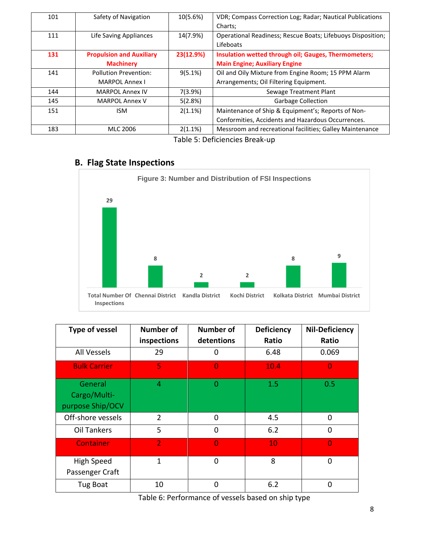| 101 | Safety of Navigation            | 10(5.6%)  | VDR; Compass Correction Log; Radar; Nautical Publications   |
|-----|---------------------------------|-----------|-------------------------------------------------------------|
|     |                                 |           | Charts;                                                     |
| 111 | Life Saving Appliances          | 14(7.9%)  | Operational Readiness; Rescue Boats; Lifebuoys Disposition; |
|     |                                 |           | Lifeboats                                                   |
| 131 | <b>Propulsion and Auxiliary</b> | 23(12.9%) | Insulation wetted through oil; Gauges, Thermometers;        |
|     | <b>Machinery</b>                |           | <b>Main Engine; Auxiliary Engine</b>                        |
| 141 | <b>Pollution Prevention:</b>    | 9(5.1%)   | Oil and Oily Mixture from Engine Room; 15 PPM Alarm         |
|     | <b>MARPOL Annex I</b>           |           | Arrangements; Oil Filtering Equipment.                      |
| 144 | <b>MARPOL Annex IV</b>          | 7(3.9%)   | Sewage Treatment Plant                                      |
| 145 | <b>MARPOL Annex V</b>           | 5(2.8%)   | <b>Garbage Collection</b>                                   |
| 151 | <b>ISM</b>                      | 2(1.1%)   | Maintenance of Ship & Equipment's; Reports of Non-          |
|     |                                 |           | Conformities, Accidents and Hazardous Occurrences.          |
| 183 | MLC 2006                        | 2(1.1%)   | Messroom and recreational facilities; Galley Maintenance    |

Table 5: Deficiencies Break-up

# **B. Flag State Inspections**



| <b>Type of vessel</b>                       | <b>Number of</b> | Number of<br><b>Deficiency</b> |       | <b>Nil-Deficiency</b> |
|---------------------------------------------|------------------|--------------------------------|-------|-----------------------|
|                                             | inspections      | detentions                     | Ratio | Ratio                 |
| <b>All Vessels</b>                          | 29               | 0                              | 6.48  | 0.069                 |
| <b>Bulk Carrier</b>                         | 5                | $\Omega$                       | 10.4  | n                     |
| General<br>Cargo/Multi-<br>purpose Ship/OCV | 4                | 0                              | 1.5   | 0.5                   |
| Off-shore vessels                           | $\overline{2}$   | 0                              | 4.5   | 0                     |
| <b>Oil Tankers</b>                          | 5                | $\mathbf{0}$                   | 6.2   | 0                     |
| <b>Container</b>                            | $\overline{2}$   | 0                              | 10    |                       |
| High Speed<br>Passenger Craft               | 1                | 0                              | 8     | 0                     |
| Tug Boat                                    | 10               | 0                              | 6.2   | 0                     |

Table 6: Performance of vessels based on ship type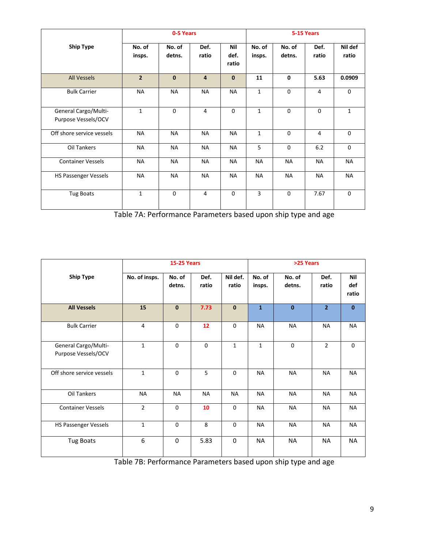|                                             | 0-5 Years        |                  |                | 5-15 Years           |                  |                  |                |                  |
|---------------------------------------------|------------------|------------------|----------------|----------------------|------------------|------------------|----------------|------------------|
| <b>Ship Type</b>                            | No. of<br>insps. | No. of<br>detns. | Def.<br>ratio  | Nil<br>def.<br>ratio | No. of<br>insps. | No. of<br>detns. | Def.<br>ratio  | Nil def<br>ratio |
| <b>All Vessels</b>                          | $\overline{2}$   | $\mathbf{0}$     | $\overline{4}$ | $\mathbf{0}$         | 11               | $\mathbf{0}$     | 5.63           | 0.0909           |
| <b>Bulk Carrier</b>                         | <b>NA</b>        | <b>NA</b>        | <b>NA</b>      | <b>NA</b>            | 1                | $\Omega$         | 4              | 0                |
| General Cargo/Multi-<br>Purpose Vessels/OCV | $\mathbf{1}$     | $\Omega$         | 4              | $\Omega$             | $\mathbf{1}$     | $\Omega$         | $\Omega$       | $\mathbf{1}$     |
| Off shore service vessels                   | <b>NA</b>        | <b>NA</b>        | <b>NA</b>      | <b>NA</b>            | $\mathbf{1}$     | $\Omega$         | $\overline{4}$ | $\Omega$         |
| Oil Tankers                                 | <b>NA</b>        | <b>NA</b>        | <b>NA</b>      | <b>NA</b>            | 5                | $\mathbf 0$      | 6.2            | $\mathbf 0$      |
| <b>Container Vessels</b>                    | <b>NA</b>        | <b>NA</b>        | <b>NA</b>      | NA                   | <b>NA</b>        | <b>NA</b>        | <b>NA</b>      | <b>NA</b>        |
| <b>HS Passenger Vessels</b>                 | <b>NA</b>        | <b>NA</b>        | <b>NA</b>      | NA                   | <b>NA</b>        | <b>NA</b>        | <b>NA</b>      | NA               |
| Tug Boats                                   | 1                | $\mathbf 0$      | 4              | $\mathbf 0$          | 3                | $\mathbf 0$      | 7.67           | 0                |

Table 7A: Performance Parameters based upon ship type and age

|                                             | <b>15-25 Years</b> |                  |               |                   | >25 Years        |                  |                |                            |
|---------------------------------------------|--------------------|------------------|---------------|-------------------|------------------|------------------|----------------|----------------------------|
| <b>Ship Type</b>                            | No. of insps.      | No. of<br>detns. | Def.<br>ratio | Nil def.<br>ratio | No. of<br>insps. | No. of<br>detns. | Def.<br>ratio  | <b>Nil</b><br>def<br>ratio |
| <b>All Vessels</b>                          | 15                 | $\mathbf 0$      | 7.73          | $\mathbf{0}$      | $\mathbf{1}$     | $\mathbf{0}$     | 2 <sup>2</sup> | $\mathbf{0}$               |
| <b>Bulk Carrier</b>                         | 4                  | $\mathbf 0$      | 12            | $\mathbf 0$       | <b>NA</b>        | <b>NA</b>        | <b>NA</b>      | NA                         |
| General Cargo/Multi-<br>Purpose Vessels/OCV | $\mathbf{1}$       | $\Omega$         | $\mathbf 0$   | $\mathbf{1}$      | $\mathbf{1}$     | $\mathbf 0$      | $\overline{2}$ | $\mathbf 0$                |
| Off shore service vessels                   | $\mathbf{1}$       | $\Omega$         | 5             | $\Omega$          | <b>NA</b>        | <b>NA</b>        | <b>NA</b>      | <b>NA</b>                  |
| Oil Tankers                                 | <b>NA</b>          | <b>NA</b>        | <b>NA</b>     | <b>NA</b>         | <b>NA</b>        | <b>NA</b>        | <b>NA</b>      | <b>NA</b>                  |
| <b>Container Vessels</b>                    | $\overline{2}$     | $\mathbf 0$      | 10            | $\mathbf 0$       | <b>NA</b>        | <b>NA</b>        | <b>NA</b>      | <b>NA</b>                  |
| HS Passenger Vessels                        | $\mathbf{1}$       | $\mathbf 0$      | 8             | $\mathbf 0$       | <b>NA</b>        | <b>NA</b>        | <b>NA</b>      | NA                         |
| <b>Tug Boats</b>                            | 6                  | $\Omega$         | 5.83          | $\Omega$          | <b>NA</b>        | <b>NA</b>        | <b>NA</b>      | <b>NA</b>                  |

Table 7B: Performance Parameters based upon ship type and age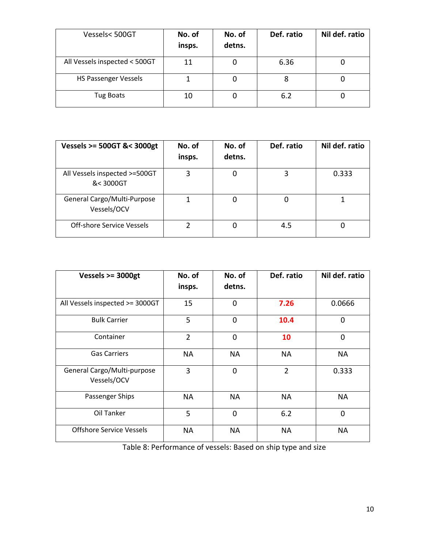| Vessels<500GT                 | No. of<br>insps. | No. of<br>detns. | Def. ratio | Nil def. ratio |
|-------------------------------|------------------|------------------|------------|----------------|
| All Vessels inspected < 500GT | 11               |                  | 6.36       |                |
| <b>HS Passenger Vessels</b>   |                  |                  | Ο          |                |
| <b>Tug Boats</b>              | 10               |                  | 6.2        |                |

| Vessels >= 500GT &< 3000gt                 | No. of<br>insps. | No. of<br>detns. | Def. ratio | Nil def. ratio |
|--------------------------------------------|------------------|------------------|------------|----------------|
| All Vessels inspected >=500GT<br>&< 3000GT | 3                | 0                |            | 0.333          |
| General Cargo/Multi-Purpose<br>Vessels/OCV |                  | 0                |            |                |
| <b>Off-shore Service Vessels</b>           |                  | O                | 4.5        |                |

| Vessels $>=$ 3000gt                        | No. of<br>insps. | No. of<br>detns. | Def. ratio     | Nil def. ratio |
|--------------------------------------------|------------------|------------------|----------------|----------------|
| All Vessels inspected >= 3000GT            | 15               | $\mathbf 0$      | 7.26           | 0.0666         |
| <b>Bulk Carrier</b>                        | 5                | 0                | 10.4           | 0              |
| Container                                  | $\overline{2}$   | $\overline{0}$   | 10             | $\overline{0}$ |
| <b>Gas Carriers</b>                        | NA.              | <b>NA</b>        | <b>NA</b>      | <b>NA</b>      |
| General Cargo/Multi-purpose<br>Vessels/OCV | 3                | 0                | $\overline{2}$ | 0.333          |
| Passenger Ships                            | NA               | <b>NA</b>        | <b>NA</b>      | <b>NA</b>      |
| Oil Tanker                                 | 5                | $\mathbf 0$      | 6.2            | 0              |
| <b>Offshore Service Vessels</b>            | <b>NA</b>        | <b>NA</b>        | <b>NA</b>      | <b>NA</b>      |

Table 8: Performance of vessels: Based on ship type and size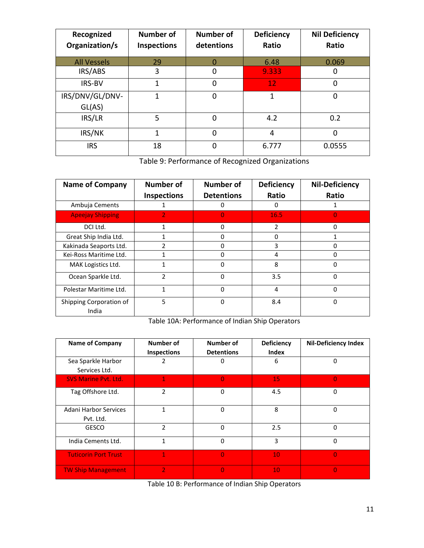| Recognized         | Number of   | <b>Number of</b> | <b>Deficiency</b> | <b>Nil Deficiency</b> |
|--------------------|-------------|------------------|-------------------|-----------------------|
| Organization/s     | Inspections | detentions       | Ratio             | Ratio                 |
| <b>All Vessels</b> | 29          |                  | 6.48              | 0.069                 |
| IRS/ABS            | 3           | 0                | 9.333             | 0                     |
| <b>IRS-BV</b>      |             | 0                | 12                | 0                     |
| IRS/DNV/GL/DNV-    |             | $\Omega$         | 1                 | 0                     |
| GL(AS)             |             |                  |                   |                       |
| IRS/LR             | 5           | 0                | 4.2               | 0.2                   |
| IRS/NK             | 1           | $\overline{0}$   | $\overline{4}$    | $\Omega$              |
| <b>IRS</b>         | 18          | $\mathbf 0$      | 6.777             | 0.0555                |

Table 9: Performance of Recognized Organizations

| <b>Name of Company</b>           | <b>Number of</b>   | Number of         | <b>Deficiency</b> | <b>Nil-Deficiency</b> |
|----------------------------------|--------------------|-------------------|-------------------|-----------------------|
|                                  | <b>Inspections</b> | <b>Detentions</b> | Ratio             | Ratio                 |
| Ambuja Cements                   |                    | 0                 | 0                 | 1                     |
| <b>Apeejay Shipping</b>          | $\overline{2}$     | $\Omega$          | 16.5              | 0                     |
| DCI Ltd.                         | 1                  | $\Omega$          | $\overline{2}$    | $\Omega$              |
| Great Ship India Ltd.            |                    | 0                 | 0                 |                       |
| Kakinada Seaports Ltd.           | 2                  | 0                 | 3                 | 0                     |
| Kei-Ross Maritime Ltd.           |                    | 0                 | 4                 | 0                     |
| MAK Logistics Ltd.               |                    | $\Omega$          | 8                 | $\Omega$              |
| Ocean Sparkle Ltd.               | $\mathcal{P}$      | 0                 | 3.5               | 0                     |
| Polestar Maritime Ltd.           | 1                  | $\Omega$          | 4                 | $\Omega$              |
| Shipping Corporation of<br>India | 5                  | 0                 | 8.4               | 0                     |

Table 10A: Performance of Indian Ship Operators

| <b>Name of Company</b>              | Number of<br>Inspections | Number of<br><b>Detentions</b> | <b>Deficiency</b><br>Index | <b>Nil-Deficiency Index</b> |
|-------------------------------------|--------------------------|--------------------------------|----------------------------|-----------------------------|
| Sea Sparkle Harbor<br>Services Ltd. | 2                        | 0                              | 6                          | 0                           |
| <b>SVS Marine Pyt. Ltd.</b>         | $\mathbf{1}$             | $\overline{0}$                 | 15                         | $\overline{0}$              |
| Tag Offshore Ltd.                   | $\overline{2}$           | $\Omega$                       | 4.5                        | 0                           |
| Adani Harbor Services<br>Pvt. Ltd.  | 1                        | $\Omega$                       | 8                          | $\Omega$                    |
| <b>GESCO</b>                        | $\mathfrak{p}$           | $\Omega$                       | 2.5                        | 0                           |
| India Cements Ltd.                  | 1                        | $\Omega$                       | 3                          | 0                           |
| <b>Tuticorin Port Trust</b>         | 7                        | $\Omega$                       | 10                         | $\Omega$                    |
| <b>TW Ship Management</b>           | $\overline{2}$           | $\Omega$                       | 10                         | $\overline{0}$              |

Table 10 B: Performance of Indian Ship Operators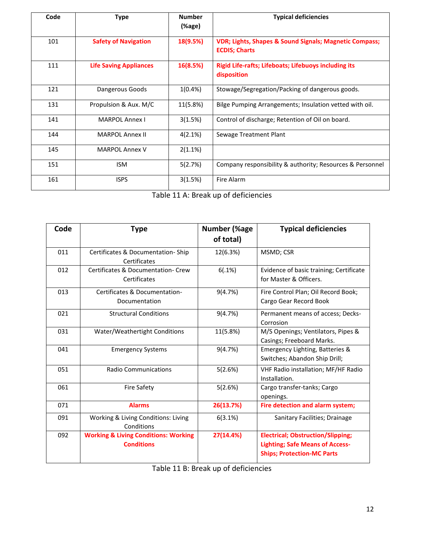| Code | <b>Type</b>                   | <b>Number</b><br>(%age) | <b>Typical deficiencies</b>                                                     |
|------|-------------------------------|-------------------------|---------------------------------------------------------------------------------|
| 101  | <b>Safety of Navigation</b>   | 18(9.5%)                | VDR; Lights, Shapes & Sound Signals; Magnetic Compass;<br><b>ECDIS</b> ; Charts |
| 111  | <b>Life Saving Appliances</b> | 16(8.5%)                | <b>Rigid Life-rafts; Lifeboats; Lifebuoys including its</b><br>disposition      |
| 121  | Dangerous Goods               | 1(0.4% )                | Stowage/Segregation/Packing of dangerous goods.                                 |
| 131  | Propulsion & Aux. M/C         | 11(5.8%)                | Bilge Pumping Arrangements; Insulation vetted with oil.                         |
| 141  | <b>MARPOL Annex I</b>         | 3(1.5%)                 | Control of discharge; Retention of Oil on board.                                |
| 144  | <b>MARPOL Annex II</b>        | 4(2.1%)                 | Sewage Treatment Plant                                                          |
| 145  | <b>MARPOL Annex V</b>         | 2(1.1%)                 |                                                                                 |
| 151  | <b>ISM</b>                    | 5(2.7%)                 | Company responsibility & authority; Resources & Personnel                       |
| 161  | <b>ISPS</b>                   | 3(1.5%)                 | Fire Alarm                                                                      |

Table 11 A: Break up of deficiencies

| Code | <b>Type</b>                                                          | Number (%age<br>of total) | <b>Typical deficiencies</b>                                                                                             |
|------|----------------------------------------------------------------------|---------------------------|-------------------------------------------------------------------------------------------------------------------------|
| 011  | Certificates & Documentation-Ship<br>Certificates                    | 12(6.3%)                  | MSMD; CSR                                                                                                               |
| 012  | Certificates & Documentation- Crew<br>Certificates                   | 6(.1%)                    | Evidence of basic training; Certificate<br>for Master & Officers.                                                       |
| 013  | Certificates & Documentation-<br>Documentation                       | 9(4.7%)                   | Fire Control Plan; Oil Record Book;<br>Cargo Gear Record Book                                                           |
| 021  | <b>Structural Conditions</b>                                         | 9(4.7%)                   | Permanent means of access; Decks-<br>Corrosion                                                                          |
| 031  | Water/Weathertight Conditions                                        | 11(5.8%)                  | M/S Openings; Ventilators, Pipes &<br>Casings; Freeboard Marks.                                                         |
| 041  | <b>Emergency Systems</b>                                             | 9(4.7%)                   | Emergency Lighting, Batteries &<br>Switches; Abandon Ship Drill;                                                        |
| 051  | <b>Radio Communications</b>                                          | 5(2.6%)                   | VHF Radio installation; MF/HF Radio<br>Installation.                                                                    |
| 061  | <b>Fire Safety</b>                                                   | 5(2.6%)                   | Cargo transfer-tanks; Cargo<br>openings.                                                                                |
| 071  | <b>Alarms</b>                                                        | 26(13.7%)                 | Fire detection and alarm system;                                                                                        |
| 091  | Working & Living Conditions: Living<br>Conditions                    | 6(3.1%)                   | Sanitary Facilities; Drainage                                                                                           |
| 092  | <b>Working &amp; Living Conditions: Working</b><br><b>Conditions</b> | 27(14.4%)                 | <b>Electrical; Obstruction/Slipping;</b><br><b>Lighting; Safe Means of Access-</b><br><b>Ships; Protection-MC Parts</b> |

Table 11 B: Break up of deficiencies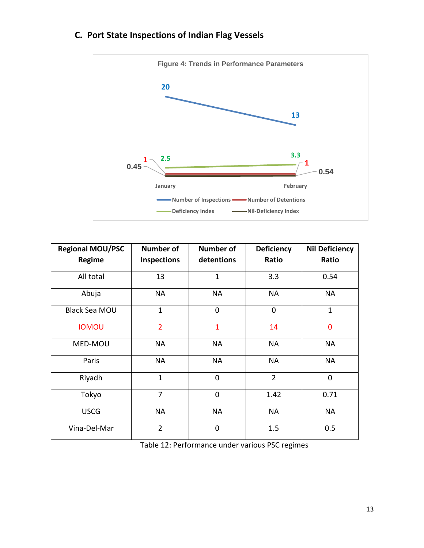

# **C. Port State Inspections of Indian Flag Vessels**

| <b>Regional MOU/PSC</b><br>Regime | <b>Number of</b><br><b>Inspections</b> | <b>Number of</b><br>detentions | <b>Deficiency</b><br>Ratio | <b>Nil Deficiency</b><br>Ratio |
|-----------------------------------|----------------------------------------|--------------------------------|----------------------------|--------------------------------|
| All total                         | 13                                     | $\mathbf{1}$                   | 3.3                        | 0.54                           |
| Abuja                             | <b>NA</b>                              | <b>NA</b>                      | <b>NA</b>                  | <b>NA</b>                      |
| <b>Black Sea MOU</b>              | $\mathbf{1}$                           | $\mathbf 0$                    | $\mathbf 0$                | $\mathbf{1}$                   |
| <b>IOMOU</b>                      | $\overline{2}$                         | $\mathbf{1}$                   | 14                         | $\overline{0}$                 |
| MED-MOU                           | <b>NA</b>                              | <b>NA</b>                      | <b>NA</b>                  | <b>NA</b>                      |
| Paris                             | <b>NA</b>                              | <b>NA</b>                      | <b>NA</b>                  | <b>NA</b>                      |
| Riyadh                            | $\mathbf{1}$                           | $\overline{0}$                 | $\overline{2}$             | $\mathbf 0$                    |
| Tokyo                             | $\overline{7}$                         | $\overline{0}$                 | 1.42                       | 0.71                           |
| <b>USCG</b>                       | <b>NA</b>                              | <b>NA</b>                      | <b>NA</b>                  | <b>NA</b>                      |
| Vina-Del-Mar                      | $\overline{2}$                         | $\overline{0}$                 | 1.5                        | 0.5                            |

Table 12: Performance under various PSC regimes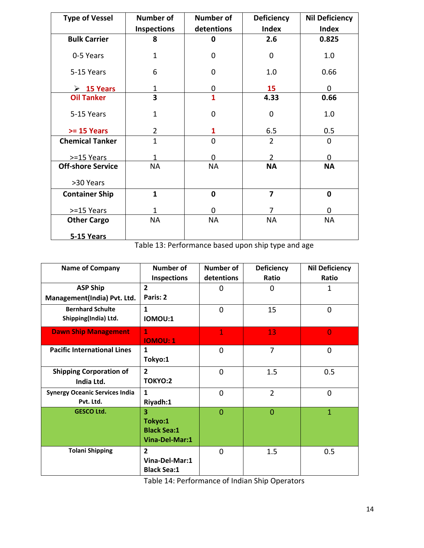| <b>Type of Vessel</b>     | <b>Number of</b>   | <b>Number of</b>        | <b>Deficiency</b> | <b>Nil Deficiency</b> |
|---------------------------|--------------------|-------------------------|-------------------|-----------------------|
|                           | <b>Inspections</b> | detentions              | <b>Index</b>      | <b>Index</b>          |
| <b>Bulk Carrier</b>       | 8                  | $\mathbf 0$             | 2.6               | 0.825                 |
| 0-5 Years                 | $\mathbf{1}$       | $\overline{0}$          | $\mathbf 0$       | 1.0                   |
| 5-15 Years                | 6                  | 0                       | 1.0               | 0.66                  |
| $\triangleright$ 15 Years | 1                  | 0                       | 15                | $\Omega$              |
| <b>Oil Tanker</b>         | 3                  | $\overline{\mathbf{1}}$ | 4.33              | 0.66                  |
| 5-15 Years                | $\mathbf{1}$       | $\overline{0}$          | $\mathbf 0$       | 1.0                   |
| $>= 15$ Years             | $\overline{2}$     | 1                       | 6.5               | 0.5                   |
| <b>Chemical Tanker</b>    | $\mathbf{1}$       | $\Omega$                | $\overline{2}$    | 0                     |
| >=15 Years                | 1                  | $\Omega$                | $\overline{2}$    | $\Omega$              |
| <b>Off-shore Service</b>  | <b>NA</b>          | <b>NA</b>               | <b>NA</b>         | <b>NA</b>             |
| >30 Years                 |                    |                         |                   |                       |
| <b>Container Ship</b>     | $\mathbf{1}$       | $\mathbf 0$             | $\overline{7}$    | $\mathbf 0$           |
| >=15 Years                | 1                  | $\Omega$                | 7                 | $\Omega$              |
| <b>Other Cargo</b>        | <b>NA</b>          | <b>NA</b>               | <b>NA</b>         | <b>NA</b>             |
| 5-15 Years                |                    |                         |                   |                       |

Table 13: Performance based upon ship type and age

| <b>Name of Company</b>                             | <b>Number of</b><br><b>Inspections</b>                                     | <b>Number of</b><br>detentions | Deficiency<br>Ratio | <b>Nil Deficiency</b><br>Ratio |
|----------------------------------------------------|----------------------------------------------------------------------------|--------------------------------|---------------------|--------------------------------|
| <b>ASP Ship</b><br>Management(India) Pvt. Ltd.     | $\overline{2}$<br>Paris: 2                                                 | 0                              | 0                   | 1                              |
| <b>Bernhard Schulte</b><br>Shipping(India) Ltd.    | $\mathbf{1}$<br><b>IOMOU:1</b>                                             | $\overline{0}$                 | 15                  | $\overline{0}$                 |
| <b>Dawn Ship Management</b>                        | $\mathbf{1}$<br><b>IOMOU: 1</b>                                            | $\mathbf{1}$                   | 13                  | $\overline{0}$                 |
| <b>Pacific International Lines</b>                 | $\mathbf{1}$<br>Tokyo:1                                                    | $\overline{0}$                 | 7                   | $\Omega$                       |
| <b>Shipping Corporation of</b><br>India Ltd.       | $\overline{2}$<br>TOKYO:2                                                  | $\overline{0}$                 | 1.5                 | 0.5                            |
| <b>Synergy Oceanic Services India</b><br>Pvt. Ltd. | $\mathbf{1}$<br>Riyadh:1                                                   | $\overline{0}$                 | $\overline{2}$      | $\overline{0}$                 |
| <b>GESCO Ltd.</b>                                  | $\overline{\mathbf{3}}$<br>Tokyo:1<br><b>Black Sea:1</b><br>Vina-Del-Mar:1 | $\overline{0}$                 | $\Omega$            | $\mathbf{1}$                   |
| <b>Tolani Shipping</b>                             | $\overline{2}$<br>Vina-Del-Mar:1<br><b>Black Sea:1</b>                     | $\mathbf 0$                    | 1.5                 | 0.5                            |

Table 14: Performance of Indian Ship Operators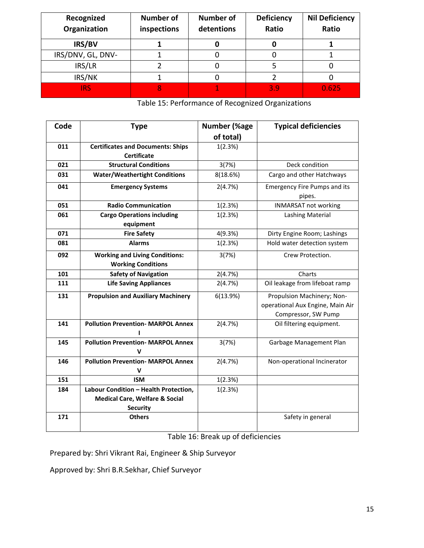| Recognized<br>Organization | <b>Number of</b><br>inspections | <b>Number of</b><br>detentions | <b>Deficiency</b><br>Ratio | <b>Nil Deficiency</b><br>Ratio |
|----------------------------|---------------------------------|--------------------------------|----------------------------|--------------------------------|
| IRS/BV                     |                                 |                                |                            |                                |
| IRS/DNV, GL, DNV-          |                                 |                                |                            |                                |
| IRS/LR                     |                                 |                                |                            |                                |
| IRS/NK                     |                                 |                                |                            |                                |
| <b>IRS</b>                 |                                 |                                | 3.9                        | 0.625                          |

Table 15: Performance of Recognized Organizations

| Code | <b>Type</b>                                    | <b>Number (%age</b> | <b>Typical deficiencies</b>                   |
|------|------------------------------------------------|---------------------|-----------------------------------------------|
|      |                                                | of total)           |                                               |
| 011  | <b>Certificates and Documents: Ships</b>       | 1(2.3%)             |                                               |
|      | <b>Certificate</b>                             |                     |                                               |
| 021  | <b>Structural Conditions</b>                   | 3(7%)               | Deck condition                                |
| 031  | <b>Water/Weathertight Conditions</b>           | 8(18.6%)            | Cargo and other Hatchways                     |
| 041  | <b>Emergency Systems</b>                       | 2(4.7%)             | <b>Emergency Fire Pumps and its</b><br>pipes. |
| 051  | <b>Radio Communication</b>                     | 1(2.3%)             | <b>INMARSAT not working</b>                   |
| 061  | <b>Cargo Operations including</b>              | 1(2.3%)             | <b>Lashing Material</b>                       |
|      | equipment                                      |                     |                                               |
| 071  | <b>Fire Safety</b>                             | 4(9.3%)             | Dirty Engine Room; Lashings                   |
| 081  | <b>Alarms</b>                                  | 1(2.3%)             | Hold water detection system                   |
| 092  | <b>Working and Living Conditions:</b>          | 3(7%)               | Crew Protection.                              |
|      | <b>Working Conditions</b>                      |                     |                                               |
| 101  | <b>Safety of Navigation</b>                    | 2(4.7%)             | Charts                                        |
| 111  | <b>Life Saving Appliances</b>                  | 2(4.7%)             | Oil leakage from lifeboat ramp                |
| 131  | <b>Propulsion and Auxiliary Machinery</b>      | 6(13.9%)            | Propulsion Machinery; Non-                    |
|      |                                                |                     | operational Aux Engine, Main Air              |
|      |                                                |                     | Compressor, SW Pump                           |
| 141  | <b>Pollution Prevention- MARPOL Annex</b>      | 2(4.7%)             | Oil filtering equipment.                      |
| 145  | <b>Pollution Prevention- MARPOL Annex</b><br>v | 3(7%)               | Garbage Management Plan                       |
| 146  | <b>Pollution Prevention- MARPOL Annex</b>      | 2(4.7%)             | Non-operational Incinerator                   |
|      | v                                              |                     |                                               |
| 151  | <b>ISM</b>                                     | 1(2.3%)             |                                               |
| 184  | Labour Condition - Health Protection,          | 1(2.3%)             |                                               |
|      | <b>Medical Care, Welfare &amp; Social</b>      |                     |                                               |
|      | <b>Security</b>                                |                     |                                               |
| 171  | <b>Others</b>                                  |                     | Safety in general                             |
|      |                                                |                     |                                               |

Table 16: Break up of deficiencies

Prepared by: Shri Vikrant Rai, Engineer & Ship Surveyor

Approved by: Shri B.R.Sekhar, Chief Surveyor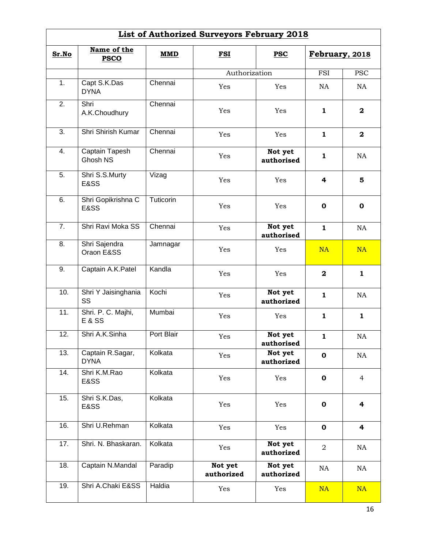| <b>List of Authorized Surveyors February 2018</b> |                                         |            |                          |                       |                |                         |  |
|---------------------------------------------------|-----------------------------------------|------------|--------------------------|-----------------------|----------------|-------------------------|--|
| Sr.No                                             | Name of the<br><b>PSCO</b>              | MMD        | <b>FSI</b><br><b>PSC</b> |                       | February, 2018 |                         |  |
|                                                   |                                         |            | Authorization            |                       | <b>FSI</b>     | <b>PSC</b>              |  |
| 1.                                                | Capt S.K.Das<br><b>DYNA</b>             | Chennai    | Yes                      | Yes                   | NA             | NA                      |  |
| 2.                                                | Shri<br>A.K.Choudhury                   | Chennai    | Yes                      | Yes                   | $\mathbf{1}$   | $\mathbf{2}$            |  |
| $\overline{3}$ .                                  | Shri Shirish Kumar                      | Chennai    | Yes                      | Yes                   | 1              | $\mathbf{2}$            |  |
| 4.                                                | Captain Tapesh<br>Ghosh NS              | Chennai    | Yes                      | Not yet<br>authorised | 1              | NA                      |  |
| 5.                                                | Shri S.S.Murty<br>E&SS                  | Vizag      | Yes                      | Yes                   | 4              | 5                       |  |
| 6.                                                | Shri Gopikrishna C<br>E&SS              | Tuticorin  | Yes                      | Yes                   | $\mathbf 0$    | $\mathbf{o}$            |  |
| $\overline{7}$ .                                  | Shri Ravi Moka SS                       | Chennai    | Yes                      | Not yet<br>authorised | $\mathbf{1}$   | NA                      |  |
| 8.                                                | Shri Sajendra<br>Oraon E&SS             | Jamnagar   | Yes                      | Yes                   | <b>NA</b>      | <b>NA</b>               |  |
| 9.                                                | Captain A.K.Patel                       | Kandla     | Yes                      | Yes                   | $\mathbf 2$    | $\mathbf{1}$            |  |
| 10.                                               | Shri Y Jaisinghania<br><b>SS</b>        | Kochi      | Yes                      | Not yet<br>authorized | $\mathbf{1}$   | NA                      |  |
| 11.                                               | Shri. P. C. Majhi,<br><b>E &amp; SS</b> | Mumbai     | Yes                      | Yes                   | 1              | $\mathbf{1}$            |  |
| 12.                                               | Shri A.K.Sinha                          | Port Blair | Yes                      | Not yet<br>authorised | 1              | NA                      |  |
| 13.                                               | Captain R.Sagar,<br><b>DYNA</b>         | Kolkata    | Yes                      | Not yet<br>authorized | $\mathbf o$    | NA                      |  |
| 14.                                               | Shri K.M.Rao<br>E&SS                    | Kolkata    | Yes                      | Yes                   | $\mathbf 0$    | $\overline{4}$          |  |
| 15.                                               | Shri S.K.Das,<br>E&SS                   | Kolkata    | Yes                      | Yes                   | $\mathbf 0$    | 4                       |  |
| 16.                                               | Shri U.Rehman                           | Kolkata    | Yes                      | Yes                   | 0              | $\overline{\mathbf{r}}$ |  |
| 17.                                               | Shri. N. Bhaskaran.                     | Kolkata    | Yes                      | Not yet<br>authorized | $\overline{2}$ | NA                      |  |
| 18.                                               | Captain N.Mandal                        | Paradip    | Not yet<br>authorized    | Not yet<br>authorized | NA             | NA                      |  |
| 19.                                               | Shri A.Chaki E&SS                       | Haldia     | Yes                      | Yes                   | <b>NA</b>      | NA                      |  |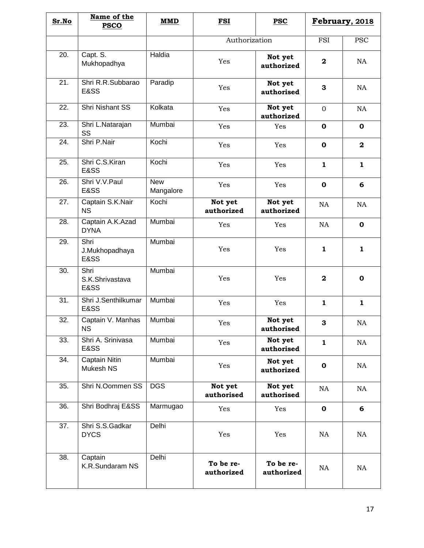| Sr.No | Name of the<br><b>PSCO</b>       | <b>MMD</b>              | FSI                     | <b>PSC</b>              | February, 2018 |              |
|-------|----------------------------------|-------------------------|-------------------------|-------------------------|----------------|--------------|
|       |                                  |                         | Authorization           |                         | FSI            | <b>PSC</b>   |
| 20.   | Capt. S.<br>Mukhopadhya          | Haldia                  | Yes                     | Not yet<br>authorized   | $\mathbf{2}$   | NA           |
| 21.   | Shri R.R.Subbarao<br>E&SS        | Paradip                 | Yes                     | Not yet<br>authorised   | 3              | NA           |
| 22.   | <b>Shri Nishant SS</b>           | Kolkata                 | Yes                     | Not yet<br>authorized   | $\mathbf{0}$   | NA           |
| 23.   | Shri L.Natarajan<br>SS           | Mumbai                  | Yes                     | Yes                     | $\mathbf 0$    | $\mathbf 0$  |
| 24.   | Shri P.Nair                      | Kochi                   | Yes                     | Yes                     | $\mathbf 0$    | $\mathbf{2}$ |
| 25.   | Shri C.S.Kiran<br>E&SS           | Kochi                   | Yes                     | Yes                     | 1              | $\mathbf{1}$ |
| 26.   | Shri V.V.Paul<br><b>E&amp;SS</b> | <b>New</b><br>Mangalore | Yes                     | Yes                     | $\mathbf 0$    | 6            |
| 27.   | Captain S.K.Nair<br><b>NS</b>    | Kochi                   | Not yet<br>authorized   | Not yet<br>authorized   | NA             | NA           |
| 28.   | Captain A.K.Azad<br><b>DYNA</b>  | Mumbai                  | Yes                     | Yes                     | NA             | $\mathbf 0$  |
| 29.   | Shri<br>J.Mukhopadhaya<br>E&SS   | Mumbai                  | Yes                     | Yes                     | 1              | $\mathbf{1}$ |
| 30.   | Shri<br>S.K.Shrivastava<br>E&SS  | Mumbai                  | Yes                     | Yes                     | $\mathbf{2}$   | $\mathbf 0$  |
| 31.   | Shri J.Senthilkumar<br>E&SS      | Mumbai                  | Yes                     | Yes                     | $\mathbf{1}$   | $\mathbf{1}$ |
| 32.   | Captain V. Manhas<br><b>NS</b>   | Mumbai                  | Yes                     | Not yet<br>authorised   | $\mathbf{3}$   | NA           |
| 33.   | Shri A. Srinivasa<br>E&SS        | Mumbai                  | Yes                     | Not yet<br>authorised   | $\mathbf{1}$   | NA           |
| 34.   | Captain Nitin<br>Mukesh NS       | Mumbai                  | Yes                     | Not yet<br>authorized   | $\mathbf 0$    | NA           |
| 35.   | Shri N.Oommen SS                 | <b>DGS</b>              | Not yet<br>authorised   | Not yet<br>authorised   | NA             | NA           |
| 36.   | Shri Bodhraj E&SS                | Marmugao                | Yes                     | Yes                     | $\mathbf 0$    | 6            |
| 37.   | Shri S.S.Gadkar<br><b>DYCS</b>   | Delhi                   | Yes                     | Yes                     | NA             | NA           |
| 38.   | Captain<br>K.R.Sundaram NS       | Delhi                   | To be re-<br>authorized | To be re-<br>authorized | NA             | NA           |